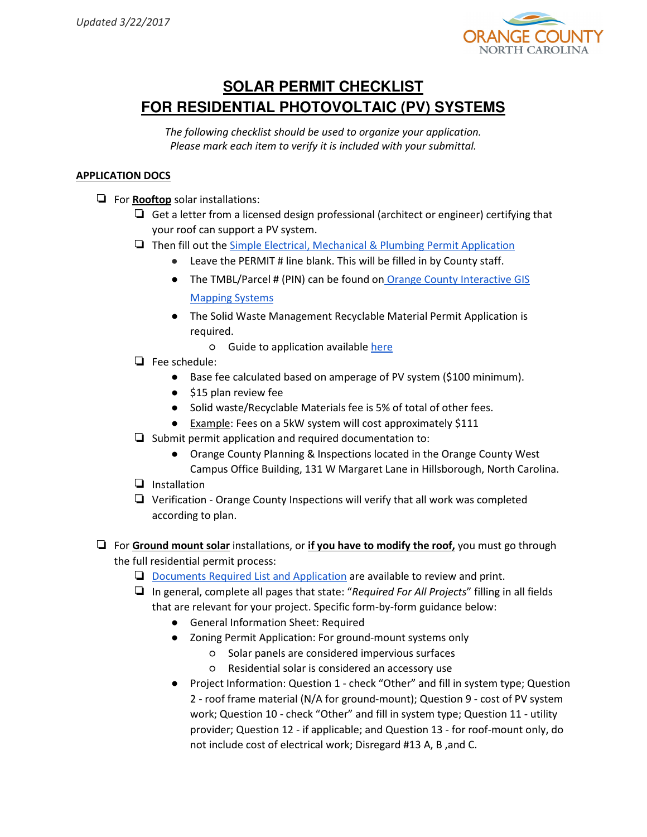

## **SOLAR PERMIT CHECKLIST FOR RESIDENTIAL PHOTOVOLTAIC (PV) SYSTEMS**

The following checklist should be used to organize your application. Please mark each item to verify it is included with your submittal.

## APPLICATION DOCS

❏ For Rooftop solar installations:

- ❏ Get a letter from a licensed design professional (architect or engineer) certifying that your roof can support a PV system.
- ❏ Then fill out the [Simple Electrical, Mechanical & Plumbing Permit Application](http://www.orangecountync.gov/departments/planning_and_inspections/Simple%20Permit%20Application.pdf)
	- Leave the PERMIT # line blank. This will be filled in by County staff.
	- The TMBL/Parcel # (PIN) can be found on Orange County Interactive GIS Mapping Systems
	- The Solid Waste Management Recyclable Material Permit Application is required.
		- Guide to application available [here](http://www.orangecountync.gov/Guide_RMPermitApplication.pdf)
- ❏ Fee schedule:
	- Base fee calculated based on amperage of PV system (\$100 minimum).
	- \$15 plan review fee
	- Solid waste/Recyclable Materials fee is 5% of total of other fees.
	- Example: Fees on a 5kW system will cost approximately \$111
- ❏ Submit permit application and required documentation to:
	- Orange County Planning & Inspections located in the Orange County West Campus Office Building, 131 W Margaret Lane in Hillsborough, North Carolina.
- ❏ Installation
- ❏ Verification Orange County Inspections will verify that all work was completed according to plan.
- $\Box$  For Ground mount solar installations, or if you have to modify the roof, you must go through the full residential permit process:
	- ❏ [Documents Required List and Application](http://www.orangecountync.gov/departments/planning_and_inspections/Building%20Permit%20Application_RESIDENTIAL_2017.01.01.pdf) are available to review and print.
	- $\Box$  In general, complete all pages that state: "Required For All Projects" filling in all fields that are relevant for your project. Specific form-by-form guidance below:
		- General Information Sheet: Required
		- Zoning Permit Application: For ground-mount systems only
			- Solar panels are considered impervious surfaces
			- Residential solar is considered an accessory use
		- Project Information: Question 1 check "Other" and fill in system type; Question 2 - roof frame material (N/A for ground-mount); Question 9 - cost of PV system work; Question 10 - check "Other" and fill in system type; Question 11 - utility provider; Question 12 - if applicable; and Question 13 - for roof-mount only, do not include cost of electrical work; Disregard #13 A, B ,and C.